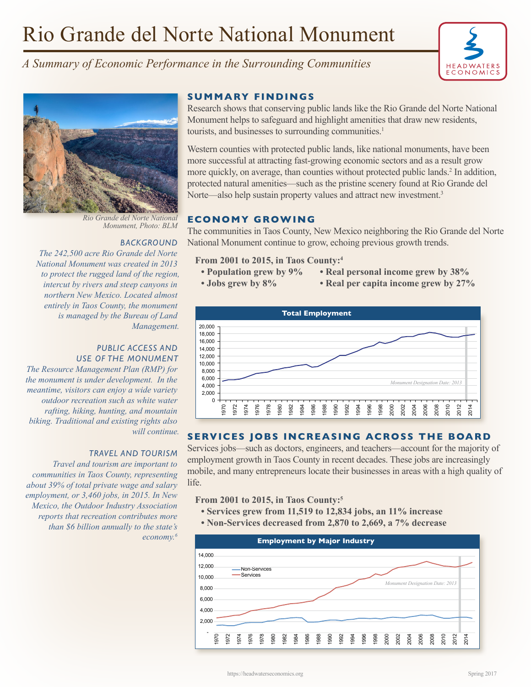# Rio Grande del Norte National Monument



*A Summary of Economic Performance in the Surrounding Communities*



*Rio Grande del Norte National* 

#### **BACKGROUND**

*The 242,500 acre Rio Grande del Norte National Monument was created in 2013 to protect the rugged land of the region, intercut by rivers and steep canyons in northern New Mexico. Located almost entirely in Taos County, the monument is managed by the Bureau of Land Management.* 

# *PUBLIC ACCESS AND USE OF THE MONUMENT*

*The Resource Management Plan (RMP) for the monument is under development. In the meantime, visitors can enjoy a wide variety outdoor recreation such as white water rafting, hiking, hunting, and mountain biking. Traditional and existing rights also will continue.*

### *TRAVEL AND TOURISM*

*Travel and tourism are important to communities in Taos County, representing about 39% of total private wage and salary employment, or 3,460 jobs, in 2015. In New Mexico, the Outdoor Industry Association reports that recreation contributes more than \$6 billion annually to the state's economy.6*

### **SUMMARY FINDINGS**

Research shows that conserving public lands like the Rio Grande del Norte National Monument helps to safeguard and highlight amenities that draw new residents, tourists, and businesses to surrounding communities.<sup>1</sup>

Western counties with protected public lands, like national monuments, have been more successful at attracting fast-growing economic sectors and as a result grow more quickly, on average, than counties without protected public lands.<sup>2</sup> In addition, protected natural amenities—such as the pristine scenery found at Rio Grande del Norte—also help sustain property values and attract new investment.<sup>3</sup>

# **ECONOMY GROWING**

The communities in Taos County, New Mexico neighboring the Rio Grande del Norte National Monument continue to grow, echoing previous growth trends.

## **From 2001 to 2015, in Taos County:4**

- **Population grew by 9% Real personal income grew by 38%**
- **Jobs grew by 8% Real per capita income grew by 27%**



## **SERVICES JOBS INCREASING ACROSS THE BOARD**

Services jobs—such as doctors, engineers, and teachers—account for the majority of employment growth in Taos County in recent decades. These jobs are increasingly mobile, and many entrepreneurs locate their businesses in areas with a high quality of life.

### **From 2001 to 2015, in Taos County:5**

- **Services grew from 11,519 to 12,834 jobs, an 11% increase**
- **Non-Services decreased from 2,870 to 2,669, a 7% decrease**